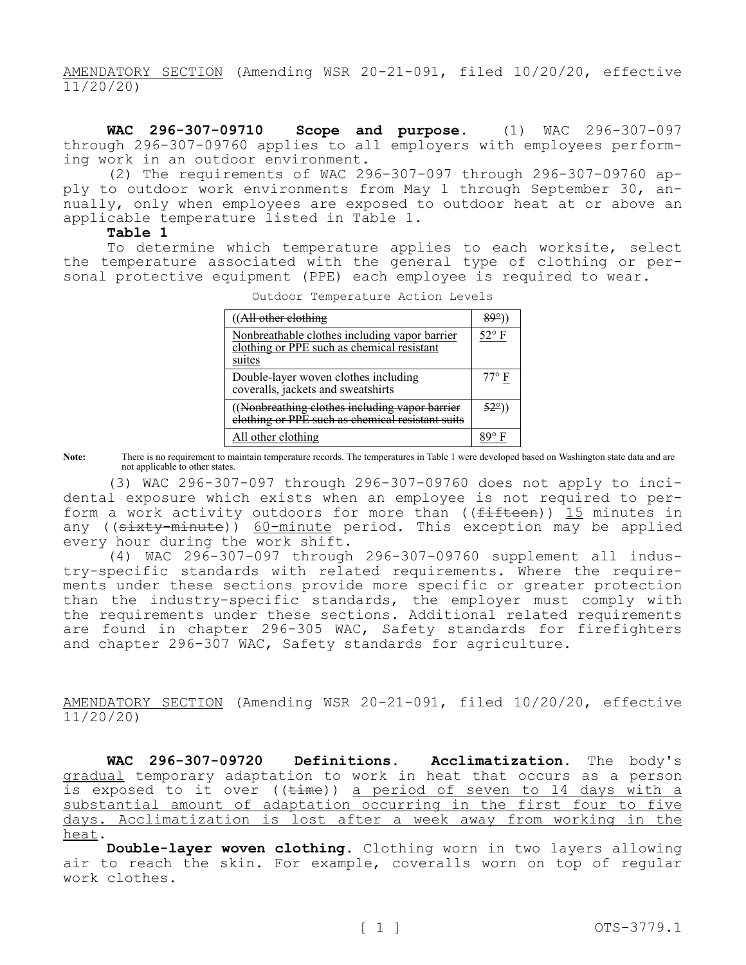AMENDATORY SECTION (Amending WSR 20-21-091, filed 10/20/20, effective 11/20/20)

**WAC 296-307-09710 Scope and purpose.** (1) WAC 296-307-097 through 296-307-09760 applies to all employers with employees performing work in an outdoor environment.

(2) The requirements of WAC 296-307-097 through 296-307-09760 apply to outdoor work environments from May 1 through September 30, annually, only when employees are exposed to outdoor heat at or above an applicable temperature listed in Table 1.

## **Table 1**

To determine which temperature applies to each worksite, select the temperature associated with the general type of clothing or personal protective equipment (PPE) each employee is required to wear.

| ((All other clothing                                                                                  | 89°)           |
|-------------------------------------------------------------------------------------------------------|----------------|
| Nonbreathable clothes including vapor barrier<br>clothing or PPE such as chemical resistant<br>suites | $52^{\circ}$ F |
| Double-layer woven clothes including<br>coveralls, jackets and sweatshirts                            | $77^{\circ}$ F |
| ((Nonbreathing clothes including vapor barrier<br>elothing or PPE such as chemical resistant suits    | 52°)           |
| All other clothing                                                                                    |                |

Outdoor Temperature Action Levels

**Note:** There is no requirement to maintain temperature records. The temperatures in Table 1 were developed based on Washington state data and are not applicable to other states.

(3) WAC 296-307-097 through 296-307-09760 does not apply to incidental exposure which exists when an employee is not required to perform a work activity outdoors for more than  $( (f<sub>if</sub> fteeen ) )$  15 minutes in any ( $(s$ ixty-minute))  $60$ -minute period. This exception may be applied every hour during the work shift.

(4) WAC 296-307-097 through 296-307-09760 supplement all industry-specific standards with related requirements. Where the requirements under these sections provide more specific or greater protection than the industry-specific standards, the employer must comply with the requirements under these sections. Additional related requirements are found in chapter 296-305 WAC, Safety standards for firefighters and chapter 296-307 WAC, Safety standards for agriculture.

AMENDATORY SECTION (Amending WSR 20-21-091, filed 10/20/20, effective 11/20/20)

**WAC 296-307-09720 Definitions. Acclimatization.** The body's gradual temporary adaptation to work in heat that occurs as a person is exposed to it over ((time)) a period of seven to 14 days with a substantial amount of adaptation occurring in the first four to five days. Acclimatization is lost after a week away from working in the heat.

**Double-layer woven clothing.** Clothing worn in two layers allowing air to reach the skin. For example, coveralls worn on top of regular work clothes.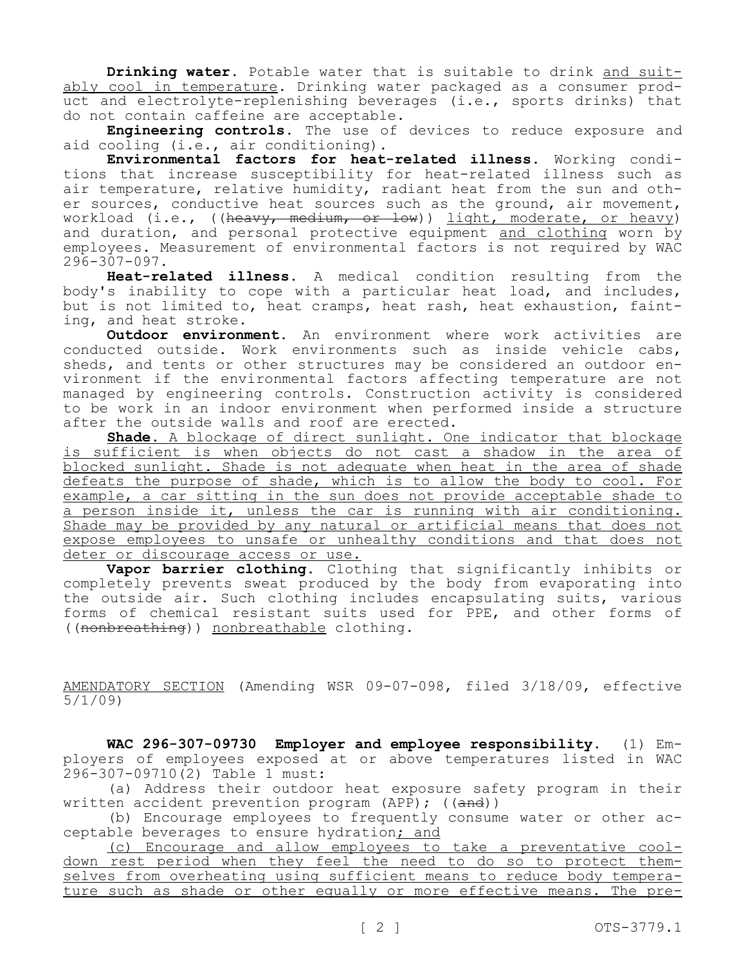**Drinking water.** Potable water that is suitable to drink and suitably cool in temperature. Drinking water packaged as a consumer product and electrolyte-replenishing beverages (i.e., sports drinks) that do not contain caffeine are acceptable.

**Engineering controls.** The use of devices to reduce exposure and aid cooling (i.e., air conditioning).

**Environmental factors for heat-related illness.** Working conditions that increase susceptibility for heat-related illness such as air temperature, relative humidity, radiant heat from the sun and other sources, conductive heat sources such as the ground, air movement, workload (i.e., ((heavy, medium, or low)) light, moderate, or heavy) and duration, and personal protective equipment and clothing worn by employees. Measurement of environmental factors is not required by WAC 296-307-097.

**Heat-related illness.** A medical condition resulting from the body's inability to cope with a particular heat load, and includes, but is not limited to, heat cramps, heat rash, heat exhaustion, fainting, and heat stroke.

**Outdoor environment.** An environment where work activities are conducted outside. Work environments such as inside vehicle cabs, sheds, and tents or other structures may be considered an outdoor environment if the environmental factors affecting temperature are not managed by engineering controls. Construction activity is considered to be work in an indoor environment when performed inside a structure after the outside walls and roof are erected.

**Shade.** A blockage of direct sunlight. One indicator that blockage is sufficient is when objects do not cast a shadow in the area of blocked sunlight. Shade is not adequate when heat in the area of shade defeats the purpose of shade, which is to allow the body to cool. For example, a car sitting in the sun does not provide acceptable shade to a person inside it, unless the car is running with air conditioning. Shade may be provided by any natural or artificial means that does not expose employees to unsafe or unhealthy conditions and that does not deter or discourage access or use.

**Vapor barrier clothing.** Clothing that significantly inhibits or completely prevents sweat produced by the body from evaporating into the outside air. Such clothing includes encapsulating suits, various forms of chemical resistant suits used for PPE, and other forms of ((nonbreathing)) nonbreathable clothing.

AMENDATORY SECTION (Amending WSR 09-07-098, filed 3/18/09, effective 5/1/09)

**WAC 296-307-09730 Employer and employee responsibility.** (1) Employers of employees exposed at or above temperatures listed in WAC 296-307-09710(2) Table 1 must:

(a) Address their outdoor heat exposure safety program in their written accident prevention program (APP);  $((and))$ 

(b) Encourage employees to frequently consume water or other acceptable beverages to ensure hydration; and

(c) Encourage and allow employees to take a preventative cooldown rest period when they feel the need to do so to protect themselves from overheating using sufficient means to reduce body temperature such as shade or other equally or more effective means. The pre-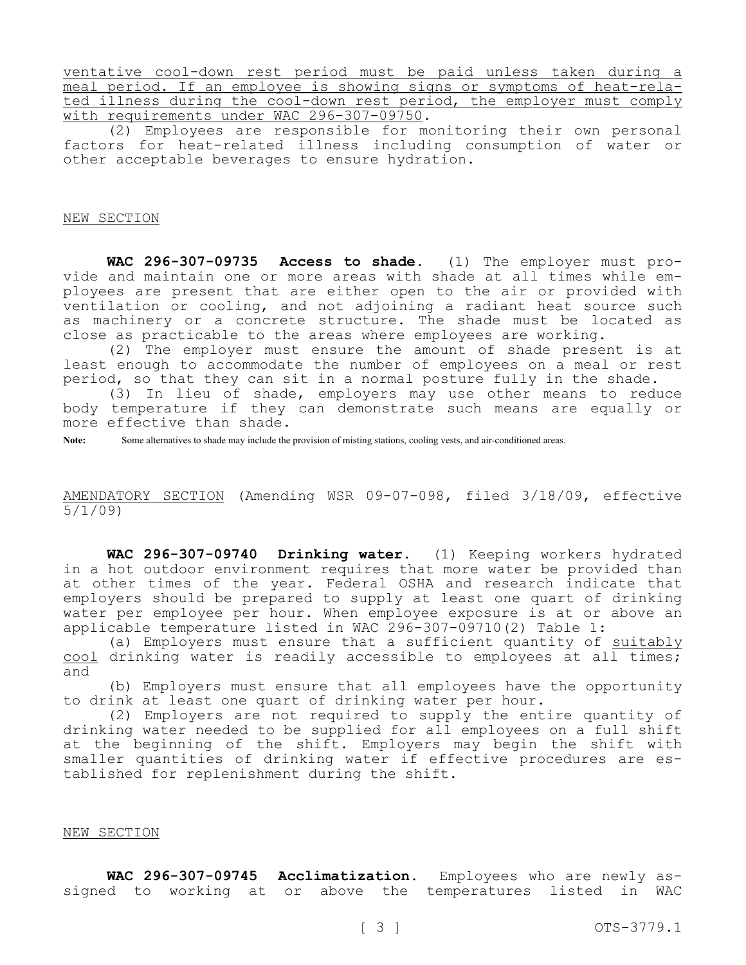ventative cool-down rest period must be paid unless taken during a meal period. If an employee is showing signs or symptoms of heat-related illness during the cool-down rest period, the employer must comply with requirements under WAC 296-307-09750.

(2) Employees are responsible for monitoring their own personal factors for heat-related illness including consumption of water or other acceptable beverages to ensure hydration.

## NEW SECTION

**WAC 296-307-09735 Access to shade.** (1) The employer must provide and maintain one or more areas with shade at all times while employees are present that are either open to the air or provided with ventilation or cooling, and not adjoining a radiant heat source such as machinery or a concrete structure. The shade must be located as close as practicable to the areas where employees are working.

(2) The employer must ensure the amount of shade present is at least enough to accommodate the number of employees on a meal or rest period, so that they can sit in a normal posture fully in the shade.

(3) In lieu of shade, employers may use other means to reduce body temperature if they can demonstrate such means are equally or more effective than shade.

**Note:** Some alternatives to shade may include the provision of misting stations, cooling vests, and air-conditioned areas.

AMENDATORY SECTION (Amending WSR 09-07-098, filed 3/18/09, effective 5/1/09)

**WAC 296-307-09740 Drinking water.** (1) Keeping workers hydrated in a hot outdoor environment requires that more water be provided than at other times of the year. Federal OSHA and research indicate that employers should be prepared to supply at least one quart of drinking water per employee per hour. When employee exposure is at or above an applicable temperature listed in WAC 296-307-09710(2) Table 1:

(a) Employers must ensure that a sufficient quantity of suitably cool drinking water is readily accessible to employees at all times; and

(b) Employers must ensure that all employees have the opportunity to drink at least one quart of drinking water per hour.

(2) Employers are not required to supply the entire quantity of drinking water needed to be supplied for all employees on a full shift at the beginning of the shift. Employers may begin the shift with smaller quantities of drinking water if effective procedures are established for replenishment during the shift.

## NEW SECTION

**WAC 296-307-09745 Acclimatization.** Employees who are newly assigned to working at or above the temperatures listed in WAC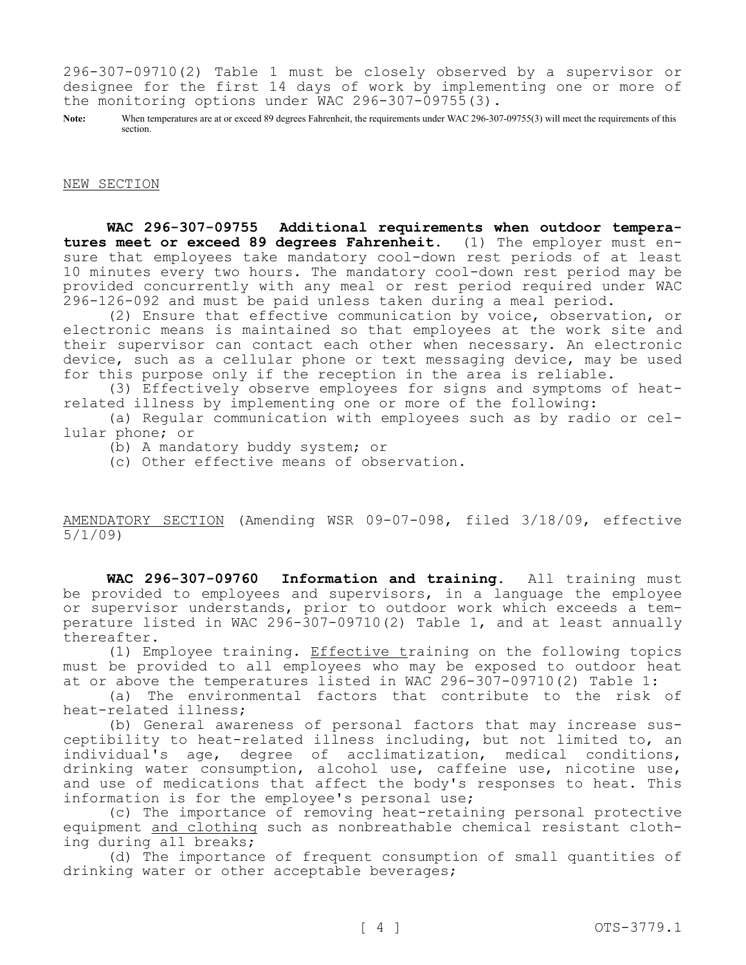296-307-09710(2) Table 1 must be closely observed by a supervisor or designee for the first 14 days of work by implementing one or more of the monitoring options under WAC 296-307-09755(3).

Note: When temperatures are at or exceed 89 degrees Fahrenheit, the requirements under WAC 296-307-09755(3) will meet the requirements of this section.

NEW SECTION

**WAC 296-307-09755 Additional requirements when outdoor temperatures meet or exceed 89 degrees Fahrenheit.** (1) The employer must ensure that employees take mandatory cool-down rest periods of at least 10 minutes every two hours. The mandatory cool-down rest period may be provided concurrently with any meal or rest period required under WAC 296-126-092 and must be paid unless taken during a meal period.

(2) Ensure that effective communication by voice, observation, or electronic means is maintained so that employees at the work site and their supervisor can contact each other when necessary. An electronic device, such as a cellular phone or text messaging device, may be used for this purpose only if the reception in the area is reliable.

(3) Effectively observe employees for signs and symptoms of heatrelated illness by implementing one or more of the following:

(a) Regular communication with employees such as by radio or cellular phone; or

(b) A mandatory buddy system; or

(c) Other effective means of observation.

AMENDATORY SECTION (Amending WSR 09-07-098, filed 3/18/09, effective 5/1/09)

**WAC 296-307-09760 Information and training.** All training must be provided to employees and supervisors, in a language the employee or supervisor understands, prior to outdoor work which exceeds a temperature listed in WAC 296-307-09710(2) Table 1, and at least annually thereafter.

(1) Employee training. Effective training on the following topics must be provided to all employees who may be exposed to outdoor heat at or above the temperatures listed in WAC 296-307-09710(2) Table 1:

(a) The environmental factors that contribute to the risk of heat-related illness;

(b) General awareness of personal factors that may increase susceptibility to heat-related illness including, but not limited to, an individual's age, degree of acclimatization, medical conditions, drinking water consumption, alcohol use, caffeine use, nicotine use, and use of medications that affect the body's responses to heat. This information is for the employee's personal use;

(c) The importance of removing heat-retaining personal protective equipment and clothing such as nonbreathable chemical resistant clothing during all breaks;

(d) The importance of frequent consumption of small quantities of drinking water or other acceptable beverages;